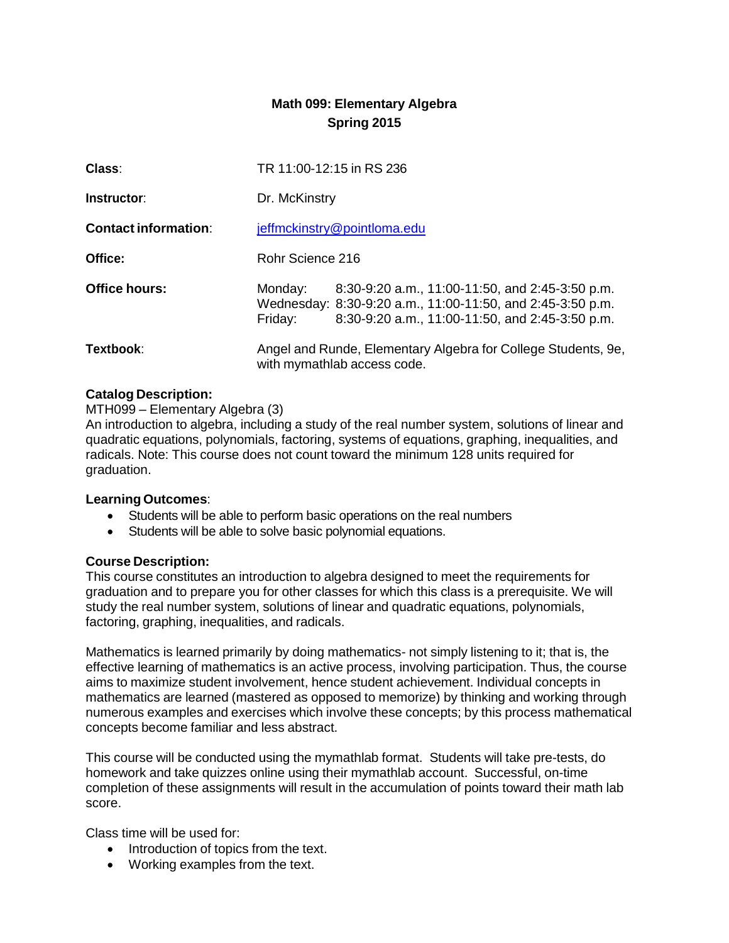# **Math 099: Elementary Algebra Spring 2015**

| Class:                      | TR 11:00-12:15 in RS 236                                                                                                                                                               |  |
|-----------------------------|----------------------------------------------------------------------------------------------------------------------------------------------------------------------------------------|--|
| Instructor:                 | Dr. McKinstry                                                                                                                                                                          |  |
| <b>Contact information:</b> | jeffmckinstry@pointloma.edu                                                                                                                                                            |  |
| Office:                     | Rohr Science 216                                                                                                                                                                       |  |
| Office hours:               | Monday:<br>8:30-9:20 a.m., 11:00-11:50, and 2:45-3:50 p.m.<br>Wednesday: 8:30-9:20 a.m., 11:00-11:50, and 2:45-3:50 p.m.<br>8:30-9:20 a.m., 11:00-11:50, and 2:45-3:50 p.m.<br>Friday: |  |
| Textbook:                   | Angel and Runde, Elementary Algebra for College Students, 9e,<br>with mymathlab access code.                                                                                           |  |

# **Catalog Description:**

MTH099 – Elementary Algebra (3)

An introduction to algebra, including a study of the real number system, solutions of linear and quadratic equations, polynomials, factoring, systems of equations, graphing, inequalities, and radicals. Note: This course does not count toward the minimum 128 units required for graduation.

# **Learning Outcomes**:

- Students will be able to perform basic operations on the real numbers
- Students will be able to solve basic polynomial equations.

#### **Course Description:**

This course constitutes an introduction to algebra designed to meet the requirements for graduation and to prepare you for other classes for which this class is a prerequisite. We will study the real number system, solutions of linear and quadratic equations, polynomials, factoring, graphing, inequalities, and radicals.

Mathematics is learned primarily by doing mathematics- not simply listening to it; that is, the effective learning of mathematics is an active process, involving participation. Thus, the course aims to maximize student involvement, hence student achievement. Individual concepts in mathematics are learned (mastered as opposed to memorize) by thinking and working through numerous examples and exercises which involve these concepts; by this process mathematical concepts become familiar and less abstract.

This course will be conducted using the mymathlab format. Students will take pre-tests, do homework and take quizzes online using their mymathlab account. Successful, on-time completion of these assignments will result in the accumulation of points toward their math lab score.

Class time will be used for:

- Introduction of topics from the text.
- Working examples from the text.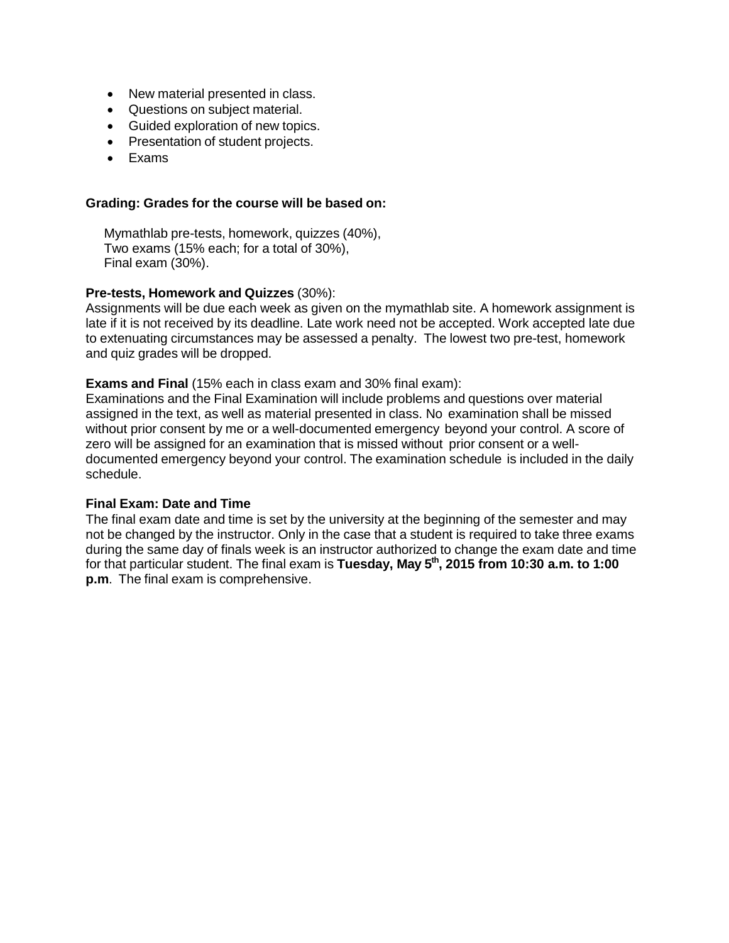- New material presented in class.
- Questions on subject material.
- Guided exploration of new topics.
- Presentation of student projects.
- Exams

#### **Grading: Grades for the course will be based on:**

Mymathlab pre-tests, homework, quizzes (40%), Two exams (15% each; for a total of 30%), Final exam (30%).

## **Pre-tests, Homework and Quizzes** (30%):

Assignments will be due each week as given on the mymathlab site. A homework assignment is late if it is not received by its deadline. Late work need not be accepted. Work accepted late due to extenuating circumstances may be assessed a penalty. The lowest two pre-test, homework and quiz grades will be dropped.

#### **Exams and Final** (15% each in class exam and 30% final exam):

Examinations and the Final Examination will include problems and questions over material assigned in the text, as well as material presented in class. No examination shall be missed without prior consent by me or a well-documented emergency beyond your control. A score of zero will be assigned for an examination that is missed without prior consent or a welldocumented emergency beyond your control. The examination schedule is included in the daily schedule.

#### **Final Exam: Date and Time**

The final exam date and time is set by the university at the beginning of the semester and may not be changed by the instructor. Only in the case that a student is required to take three exams during the same day of finals week is an instructor authorized to change the exam date and time for that particular student. The final exam is **Tuesday, May 5th , 2015 from 10:30 a.m. to 1:00 p.m**. The final exam is comprehensive.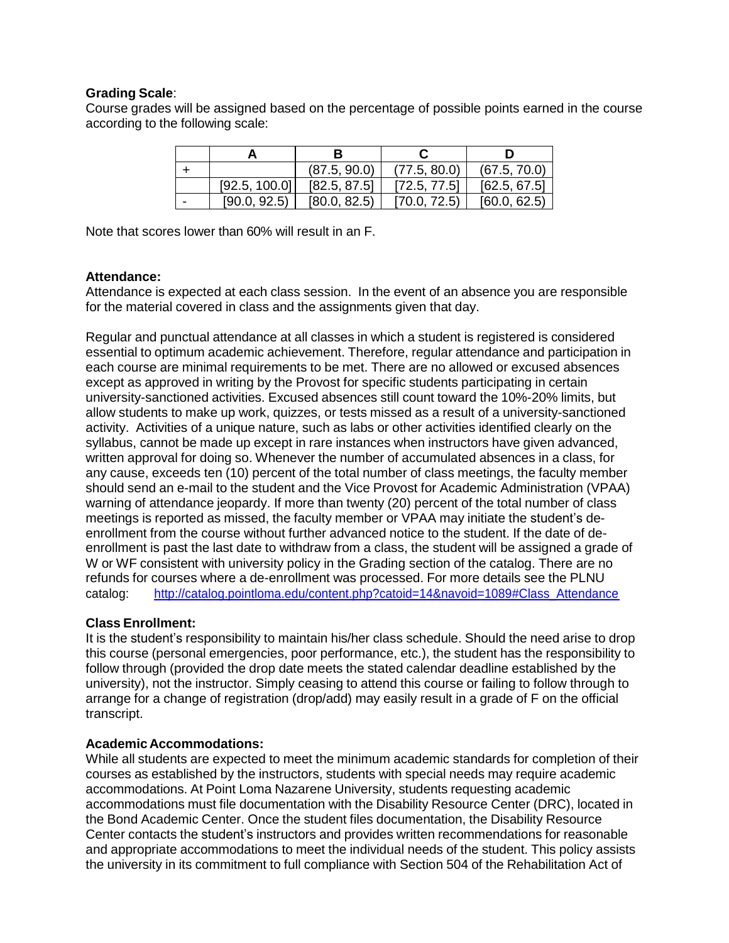## **Grading Scale**:

Course grades will be assigned based on the percentage of possible points earned in the course according to the following scale:

|               | (87.5, 90.0) | (77.5, 80.0) | (67.5, 70.0) |
|---------------|--------------|--------------|--------------|
| [92.5, 100.0] | [82.5, 87.5] | [72.5, 77.5] | [62.5, 67.5] |
| [90.0, 92.5]  | [80.0, 82.5] | [70.0, 72.5] | [60.0, 62.5] |

Note that scores lower than 60% will result in an F.

## **Attendance:**

Attendance is expected at each class session. In the event of an absence you are responsible for the material covered in class and the assignments given that day.

Regular and punctual attendance at all classes in which a student is registered is considered essential to optimum academic achievement. Therefore, regular attendance and participation in each course are minimal requirements to be met. There are no allowed or excused absences except as approved in writing by the Provost for specific students participating in certain university-sanctioned activities. Excused absences still count toward the 10%-20% limits, but allow students to make up work, quizzes, or tests missed as a result of a university-sanctioned activity. Activities of a unique nature, such as labs or other activities identified clearly on the syllabus, cannot be made up except in rare instances when instructors have given advanced, written approval for doing so. Whenever the number of accumulated absences in a class, for any cause, exceeds ten (10) percent of the total number of class meetings, the faculty member should send an e-mail to the student and the Vice Provost for Academic Administration (VPAA) warning of attendance jeopardy. If more than twenty (20) percent of the total number of class meetings is reported as missed, the faculty member or VPAA may initiate the student's deenrollment from the course without further advanced notice to the student. If the date of deenrollment is past the last date to withdraw from a class, the student will be assigned a grade of W or WF consistent with university policy in the Grading section of the catalog. There are no refunds for courses where a de-enrollment was processed. For more details see the PLNU catalog: [http://catalog.pointloma.edu/content.php?catoid=14&navoid=1089#Class\\_Attendance](http://catalog.pointloma.edu/content.php?catoid=14&navoid=1089&Class_Attendance)

# **Class Enrollment:**

It is the student's responsibility to maintain his/her class schedule. Should the need arise to drop this course (personal emergencies, poor performance, etc.), the student has the responsibility to follow through (provided the drop date meets the stated calendar deadline established by the university), not the instructor. Simply ceasing to attend this course or failing to follow through to arrange for a change of registration (drop/add) may easily result in a grade of F on the official transcript.

# **Academic Accommodations:**

While all students are expected to meet the minimum academic standards for completion of their courses as established by the instructors, students with special needs may require academic accommodations. At Point Loma Nazarene University, students requesting academic accommodations must file documentation with the Disability Resource Center (DRC), located in the Bond Academic Center. Once the student files documentation, the Disability Resource Center contacts the student's instructors and provides written recommendations for reasonable and appropriate accommodations to meet the individual needs of the student. This policy assists the university in its commitment to full compliance with Section 504 of the Rehabilitation Act of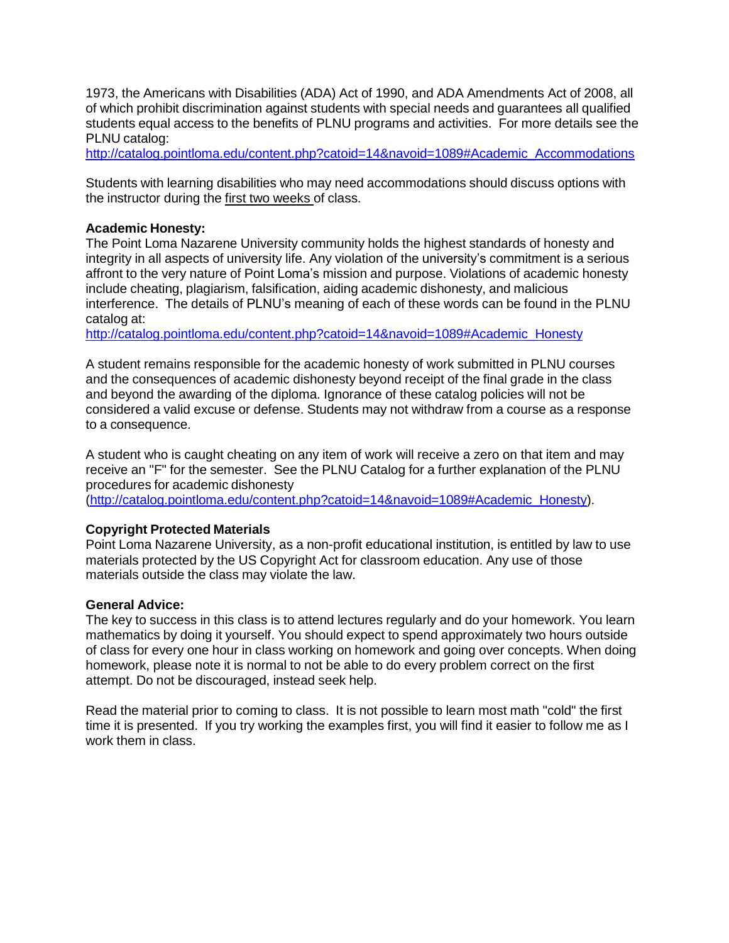1973, the Americans with Disabilities (ADA) Act of 1990, and ADA Amendments Act of 2008, all of which prohibit discrimination against students with special needs and guarantees all qualified students equal access to the benefits of PLNU programs and activities. For more details see the PLNU catalog:

[http://catalog.pointloma.edu/content.php?catoid=14&navoid=1089#Academic\\_Accommodations](http://catalog.pointloma.edu/content.php?catoid=14&navoid=1089&Academic_Accommodations)

Students with learning disabilities who may need accommodations should discuss options with the instructor during the first two weeks of class.

## **Academic Honesty:**

The Point Loma Nazarene University community holds the highest standards of honesty and integrity in all aspects of university life. Any violation of the university's commitment is a serious affront to the very nature of Point Loma's mission and purpose. Violations of academic honesty include cheating, plagiarism, falsification, aiding academic dishonesty, and malicious interference. The details of PLNU's meaning of each of these words can be found in the PLNU catalog at:

[http://catalog.pointloma.edu/content.php?catoid=14&navoid=1089#Academic\\_Honesty](http://catalog.pointloma.edu/content.php?catoid=14&navoid=1089&Academic_Honesty)

A student remains responsible for the academic honesty of work submitted in PLNU courses and the consequences of academic dishonesty beyond receipt of the final grade in the class and beyond the awarding of the diploma. Ignorance of these catalog policies will not be considered a valid excuse or defense. Students may not withdraw from a course as a response to a consequence.

A student who is caught cheating on any item of work will receive a zero on that item and may receive an "F" for the semester. See the PLNU Catalog for a further explanation of the PLNU procedures for academic dishonesty

[\(http://catalog.pointloma.edu/content.php?catoid=14&navoid=1089#Academic\\_Honesty\).](http://catalog.pointloma.edu/content.php?catoid=14&navoid=1089&Academic_Honesty))

#### **Copyright Protected Materials**

Point Loma Nazarene University, as a non-profit educational institution, is entitled by law to use materials protected by the US Copyright Act for classroom education. Any use of those materials outside the class may violate the law.

#### **General Advice:**

The key to success in this class is to attend lectures regularly and do your homework. You learn mathematics by doing it yourself. You should expect to spend approximately two hours outside of class for every one hour in class working on homework and going over concepts. When doing homework, please note it is normal to not be able to do every problem correct on the first attempt. Do not be discouraged, instead seek help.

Read the material prior to coming to class. It is not possible to learn most math "cold" the first time it is presented. If you try working the examples first, you will find it easier to follow me as I work them in class.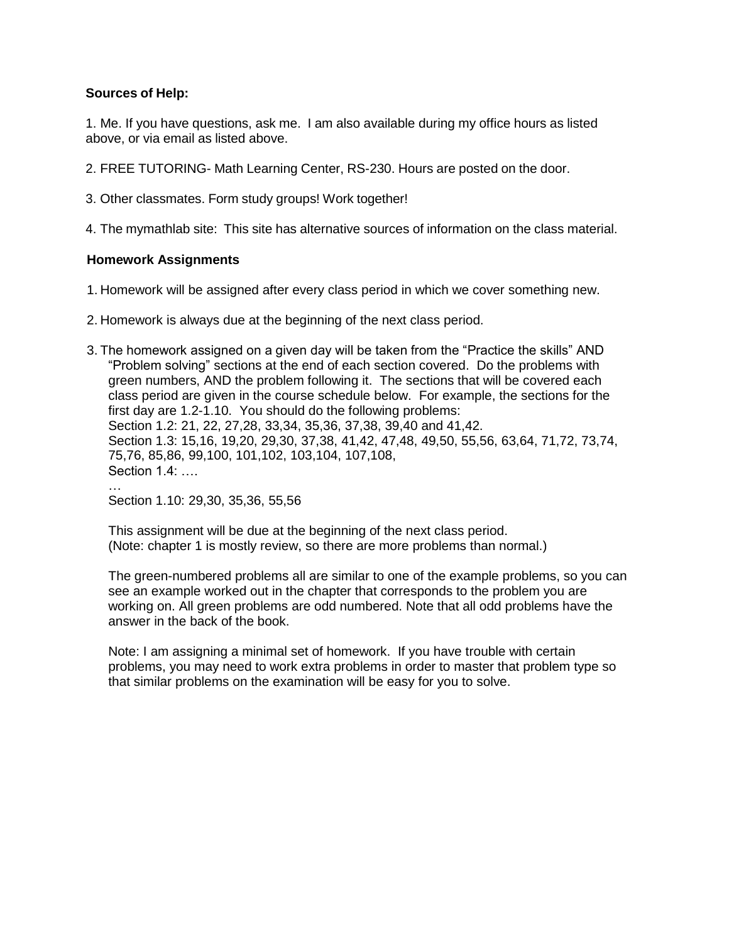# **Sources of Help:**

1. Me. If you have questions, ask me. I am also available during my office hours as listed above, or via email as listed above.

- 2. FREE TUTORING- Math Learning Center, RS-230. Hours are posted on the door.
- 3. Other classmates. Form study groups! Work together!
- 4. The mymathlab site: This site has alternative sources of information on the class material.

## **Homework Assignments**

- 1. Homework will be assigned after every class period in which we cover something new.
- 2. Homework is always due at the beginning of the next class period.
- 3. The homework assigned on a given day will be taken from the "Practice the skills" AND "Problem solving" sections at the end of each section covered. Do the problems with green numbers, AND the problem following it. The sections that will be covered each class period are given in the course schedule below. For example, the sections for the first day are 1.2-1.10. You should do the following problems: Section 1.2: 21, 22, 27,28, 33,34, 35,36, 37,38, 39,40 and 41,42. Section 1.3: 15,16, 19,20, 29,30, 37,38, 41,42, 47,48, 49,50, 55,56, 63,64, 71,72, 73,74, 75,76, 85,86, 99,100, 101,102, 103,104, 107,108, Section 1.4: …. …

Section 1.10: 29,30, 35,36, 55,56

This assignment will be due at the beginning of the next class period. (Note: chapter 1 is mostly review, so there are more problems than normal.)

The green-numbered problems all are similar to one of the example problems, so you can see an example worked out in the chapter that corresponds to the problem you are working on. All green problems are odd numbered. Note that all odd problems have the answer in the back of the book.

Note: I am assigning a minimal set of homework. If you have trouble with certain problems, you may need to work extra problems in order to master that problem type so that similar problems on the examination will be easy for you to solve.